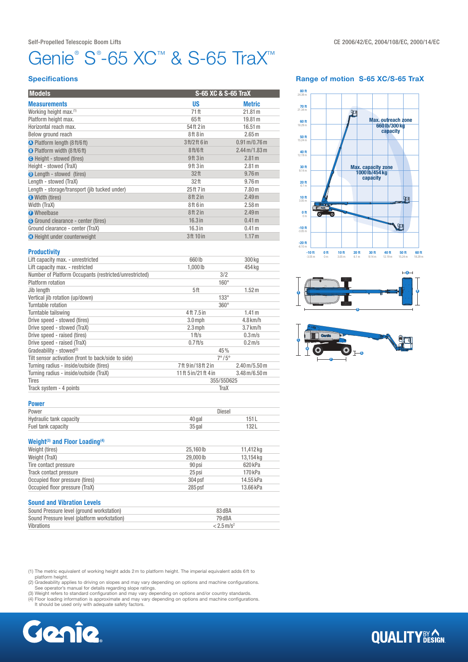# Genie® S®-65 XC™ & S-65 TraX™

### **Specifications**

| <b>Models</b>                                 | S-65 XC & S-65 TraX              |                                          |
|-----------------------------------------------|----------------------------------|------------------------------------------|
| <b>Measurements</b>                           | <b>US</b>                        | <b>Metric</b>                            |
| Working height max. <sup>(1)</sup>            | 71 ft                            | 21.81 m                                  |
| Platform height max.                          | 65ft                             | 19.81 m                                  |
| Horizontal reach max.                         | 54 ft 2 in                       | 16.51 m                                  |
| Below ground reach                            | 8ft 8in                          | 2.65 <sub>m</sub>                        |
| O Platform length (8 ft/6 ft)                 | 3 ft/2 ft 6 in                   | $0.91 \,\mathrm{m} / 0.76 \,\mathrm{m}$  |
| <b>B</b> Platform width (8 ft/6 ft)           | 8 <sub>ft</sub> /6 <sub>ft</sub> | $2.44 \,\mathrm{m}$ /1.83 $\,\mathrm{m}$ |
| <b>O</b> Height - stowed (tires)              | 9ft3in                           | 2.81 <sub>m</sub>                        |
| Height - stowed (TraX)                        | 9ft3in                           | 2.81 m                                   |
| <b>O</b> Length - stowed (tires)              | 32 <sub>ft</sub>                 | 9.76 <sub>m</sub>                        |
| Length - stowed (TraX)                        | 32 <sub>ft</sub>                 | 9.76 <sub>m</sub>                        |
| Length - storage/transport (jib tucked under) | 25 ft 7 in                       | 7.80 <sub>m</sub>                        |
| Width (tires)                                 | 8ft2in                           | 2.49 <sub>m</sub>                        |
| Width (TraX)                                  | 8ft 6 in                         | 2.58 m                                   |
| <b>O</b> Wheelbase                            | 8ft2in                           | 2.49 <sub>m</sub>                        |
| <b>G</b> Ground clearance - center (tires)    | $16.3$ in                        | 0.41 <sub>m</sub>                        |
| Ground clearance - center (TraX)              | $16.3$ in                        | 0.41 m                                   |
| <b>O</b> Height under counterweight           | 3ft 10 in                        | 1.17 <sub>m</sub>                        |

## Range of motion S-65 XC/S-65 TraX







#### **Productivity**

| Lift capacity max. - unrestricted                      | 660 lb                | 300 kg                                   |  |  |
|--------------------------------------------------------|-----------------------|------------------------------------------|--|--|
| Lift capacity max. - restricted                        | 1,000 lb              | 454 kg                                   |  |  |
| Number of Platform Occupants (restricted/unrestricted) | 3/2                   |                                          |  |  |
| Platform rotation                                      | $160^\circ$           |                                          |  |  |
| Jib length                                             | 5ft                   | 1.52 m                                   |  |  |
| Vertical jib rotation (up/down)                        | $133^\circ$           |                                          |  |  |
| Turntable rotation                                     | $360^\circ$           |                                          |  |  |
| Turntable tailswing                                    | 4ft 7.5 in            | 1.41 m                                   |  |  |
| Drive speed - stowed (tires)                           | $3.0$ mph             | $4.8$ km/h                               |  |  |
| Drive speed - stowed (TraX)                            | $2.3$ mph             | $3.7$ km/h                               |  |  |
| Drive speed - raised (tires)                           | 1 ft/s                | 0.3 <sub>m/s</sub>                       |  |  |
| Drive speed - raised (TraX)                            | $0.7$ ft/s            | $0.2$ m/s                                |  |  |
| Gradeability - stowed <sup>(2)</sup>                   | 45%                   |                                          |  |  |
| Tilt sensor activation (front to back/side to side)    | $7^{\circ}/5^{\circ}$ |                                          |  |  |
| Turning radius - inside/outside (tires)                | 7ft 9in/18ft 2in      | $2.40 \,\mathrm{m/s}$ .50 $\,\mathrm{m}$ |  |  |
| Turning radius - inside/outside (TraX)                 | 11 ft 5 in/21 ft 4 in | $3.48 \,\mathrm{m}/6.50 \,\mathrm{m}$    |  |  |
| <b>Tires</b>                                           | 355/55D625            |                                          |  |  |
| Track system - 4 points                                | TraX                  |                                          |  |  |

#### Power

| Power                   | Diesel |      |  |
|-------------------------|--------|------|--|
| Hydraulic tank capacity | 40 aal | 151  |  |
| Fuel tank capacity      | 35 gal | 132L |  |

## Weight<sup>(3)</sup> and Floor Loading<sup>(4)</sup>

| Weight (tires)                  | 25.160lb  | 11.412 kg |
|---------------------------------|-----------|-----------|
| Weight (TraX)                   | 29,000 lb | 13,154 kg |
| Tire contact pressure           | 90 psi    | 620 kPa   |
| Track contact pressure          | 25 psi    | 170 kPa   |
| Occupied floor pressure (tires) | 304 psf   | 14.55 kPa |
| Occupied floor pressure (TraX)  | $285$ psf | 13.66 kPa |

#### Sound and Vibration Levels

| Sound Pressure level (ground workstation)   | 83 dBA                   |
|---------------------------------------------|--------------------------|
| Sound Pressure level (platform workstation) | 79 dBA                   |
| Vibrations                                  | $< 2.5$ m/s <sup>2</sup> |

(1) The metric equivalent of working height adds 2m to platform height. The imperial equivalent adds 6ft to

platform height.<br>(2) Gradeability applies to driving on slopes and may vary depending on options and machine configurations.<br>See operator's manual for details regarding slope ratings.<br>(3) Weight refers to standard configur

(4) Floor loading information is approximate and may vary depending on options and machine configurations. It should be used only with adequate safety factors.